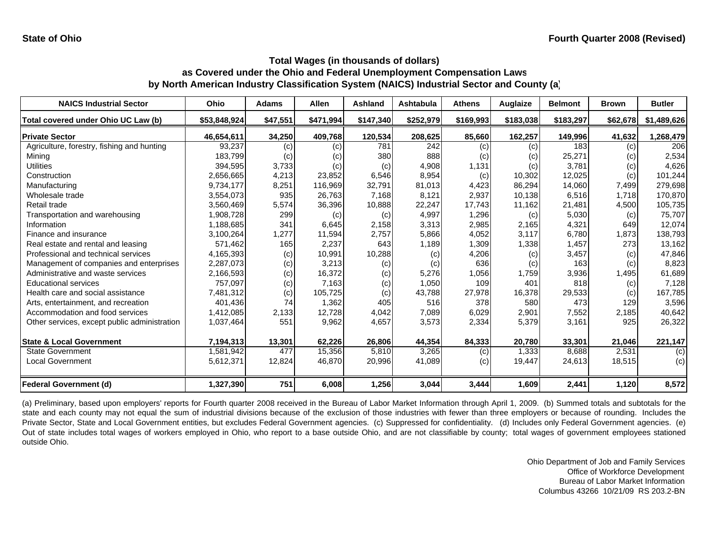| <b>NAICS Industrial Sector</b>               | Ohio         | <b>Adams</b> | <b>Allen</b> | Ashland   | Ashtabula | <b>Athens</b> | Auglaize  | <b>Belmont</b> | <b>Brown</b> | <b>Butler</b> |
|----------------------------------------------|--------------|--------------|--------------|-----------|-----------|---------------|-----------|----------------|--------------|---------------|
| Total covered under Ohio UC Law (b)          | \$53,848,924 | \$47,551     | \$471,994    | \$147,340 | \$252,979 | \$169,993     | \$183,038 | \$183,297      | \$62,678     | \$1,489,626   |
| <b>IPrivate Sector</b>                       | 46,654,611   | 34,250       | 409,768      | 120,534   | 208,625   | 85,660        | 162,257   | 149,996        | 41,632       | 1,268,479     |
| Agriculture, forestry, fishing and hunting   | 93,237       | (c)          | (c)          | 781       | 242       | (c)           | (c)       | 183            | (c)          | 206           |
| Mining                                       | 183,799      | (c)          | (c)          | 380       | 888       | (c)           | (c)       | 25,271         | (c)          | 2,534         |
| <b>Utilities</b>                             | 394,595      | 3,733        | (c)          | (c)       | 4,908     | 1,131         | (c)       | 3.781          | (c)          | 4,626         |
| Construction                                 | 2,656,665    | 4,213        | 23,852       | 6,546     | 8,954     | (c)           | 10,302    | 12,025         | (c)          | 101,244       |
| Manufacturing                                | 9,734,177    | 8,251        | 116,969      | 32,791    | 81,013    | 4,423         | 86,294    | 14,060         | 7,499        | 279,698       |
| Wholesale trade                              | 3,554,073    | 935          | 26,763       | 7.168     | 8.121     | 2,937         | 10,138    | 6,516          | 1.718        | 170,870       |
| Retail trade                                 | 3,560,469    | 5,574        | 36,396       | 10,888    | 22,247    | 17,743        | 11,162    | 21,481         | 4,500        | 105,735       |
| Transportation and warehousing               | 1,908,728    | 299          | (c)          | (c)       | 4,997     | 1,296         | (c)       | 5,030          | (c)          | 75,707        |
| Information                                  | 1,188,685    | 341          | 6,645        | 2,158     | 3,313     | 2,985         | 2,165     | 4,321          | 649          | 12,074        |
| Finance and insurance                        | 3,100,264    | 1,277        | 11,594       | 2,757     | 5,866     | 4,052         | 3,117     | 6,780          | 1,873        | 138,793       |
| Real estate and rental and leasing           | 571,462      | 165          | 2,237        | 643       | 1,189     | 1,309         | 1,338     | 1,457          | 273          | 13,162        |
| Professional and technical services          | 4,165,393    | (c)          | 10,991       | 10,288    | (c)       | 4,206         | (c)       | 3,457          | (c)          | 47,846        |
| Management of companies and enterprises      | 2,287,073    | (c)          | 3,213        | (c)       | (c)       | 636           | (c)       | 163            | (c)          | 8,823         |
| Administrative and waste services            | 2,166,593    | (c)          | 16,372       | (c)       | 5,276     | 1,056         | 1,759     | 3,936          | 1,495        | 61,689        |
| <b>Educational services</b>                  | 757.097      | (c)          | 7,163        | (c)       | 1,050     | 109           | 401       | 818            | (c)          | 7,128         |
| Health care and social assistance            | 7,481,312    | (c)          | 105,725      | (c)       | 43,788    | 27,978        | 16,378    | 29,533         | (c)          | 167,785       |
| Arts, entertainment, and recreation          | 401,436      | 74           | 1,362        | 405       | 516       | 378           | 580       | 473            | 129          | 3,596         |
| Accommodation and food services              | 1,412,085    | 2,133        | 12,728       | 4,042     | 7,089     | 6,029         | 2,901     | 7,552          | 2,185        | 40,642        |
| Other services, except public administration | 1,037,464    | 551          | 9,962        | 4,657     | 3,573     | 2,334         | 5,379     | 3,161          | 925          | 26,322        |
| <b>State &amp; Local Government</b>          | 7,194,313    | 13,301       | 62,226       | 26,806    | 44,354    | 84,333        | 20,780    | 33,301         | 21,046       | 221,147       |
| <b>State Government</b>                      | 1,581,942    | 477          | 15,356       | 5,810     | 3,265     | (c)           | 1,333     | 8,688          | 2,531        | (c)           |
| Local Government                             | 5,612,371    | 12,824       | 46,870       | 20,996    | 41,089    | (c)           | 19,447    | 24,613         | 18,515       | (c)           |
| <b>Federal Government (d)</b>                | 1,327,390    | 751          | 6.008        | 1,256     | 3,044     | 3,444         | 1.609     | 2,441          | 1,120        | 8,572         |

(a) Preliminary, based upon employers' reports for Fourth quarter 2008 received in the Bureau of Labor Market Information through April 1, 2009. (b) Summed totals and subtotals for the state and each county may not equal the sum of industrial divisions because of the exclusion of those industries with fewer than three employers or because of rounding. Includes the Private Sector, State and Local Government entities, but excludes Federal Government agencies. (c) Suppressed for confidentiality. (d) Includes only Federal Government agencies. (e) Out of state includes total wages of workers employed in Ohio, who report to <sup>a</sup> base outside Ohio, and are not classifiable by county; total wages of government employees stationed outside Ohio.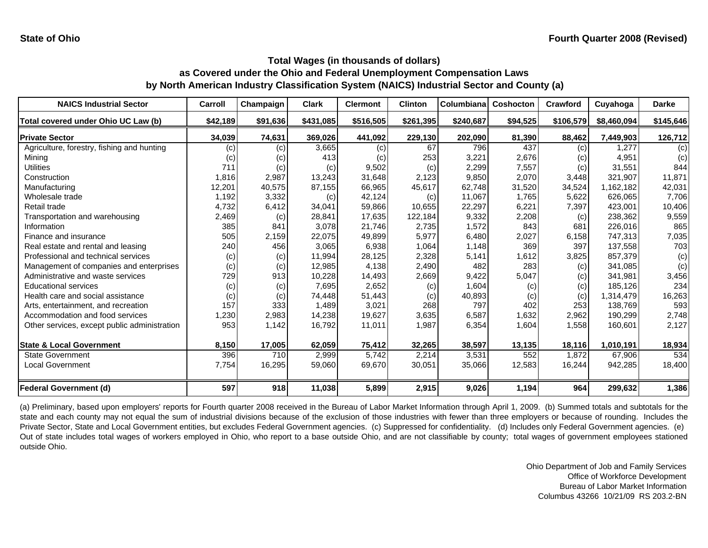| <b>NAICS Industrial Sector</b>               | Carroll  | Champaign | <b>Clark</b> | <b>Clermont</b> | <b>Clinton</b> | Columbiana | <b>Coshocton</b> | Crawford  | Cuyahoga    | <b>Darke</b> |
|----------------------------------------------|----------|-----------|--------------|-----------------|----------------|------------|------------------|-----------|-------------|--------------|
| Total covered under Ohio UC Law (b)          | \$42,189 | \$91,636  | \$431,085    | \$516,505       | \$261,395      | \$240,687  | \$94,525         | \$106,579 | \$8,460,094 | \$145,646    |
| <b>Private Sector</b>                        | 34,039   | 74,631    | 369,026      | 441,092         | 229,130        | 202,090    | 81,390           | 88,462    | 7,449,903   | 126,712      |
| Agriculture, forestry, fishing and hunting   | (c)      | (c)       | 3,665        | (c)             | 67             | 796        | 437              | (c)       | 1.277       | (c)          |
| Mining                                       | (c)      | (c)       | 413          | (c)             | 253            | 3,221      | 2,676            | (c)       | 4,951       | (c)          |
| Utilities                                    | 711      | (c)       | (c)          | 9,502           | (c)            | 2,299      | 7,557            | (c)       | 31,551      | 844          |
| Construction                                 | 1,816    | 2,987     | 13,243       | 31,648          | 2,123          | 9,850      | 2,070            | 3,448     | 321,907     | 11,871       |
| Manufacturing                                | 12,201   | 40,575    | 87,155       | 66,965          | 45,617         | 62,748     | 31,520           | 34,524    | 1,162,182   | 42,031       |
| Wholesale trade                              | 1,192    | 3,332     | (c)          | 42,124          | (c)            | 11,067     | 1,765            | 5,622     | 626,065     | 7,706        |
| Retail trade                                 | 4,732    | 6,412     | 34,041       | 59,866          | 10,655         | 22,297     | 6,221            | 7,397     | 423,001     | 10,406       |
| Transportation and warehousing               | 2,469    | (c)       | 28,841       | 17,635          | 122,184        | 9,332      | 2,208            | (c)       | 238,362     | 9,559        |
| Information                                  | 385      | 841       | 3,078        | 21,746          | 2,735          | 1,572      | 843              | 681       | 226,016     | 865          |
| Finance and insurance                        | 505      | 2,159     | 22,075       | 49,899          | 5,977          | 6,480      | 2,027            | 6,158     | 747,313     | 7,035        |
| Real estate and rental and leasing           | 240      | 456       | 3,065        | 6,938           | 1,064          | 1,148      | 369              | 397       | 137,558     | 703          |
| Professional and technical services          | (c)      | (c)       | 11,994       | 28,125          | 2,328          | 5,141      | 1,612            | 3,825     | 857,379     | (c)          |
| Management of companies and enterprises      | (c)      | (c)       | 12,985       | 4,138           | 2,490          | 482        | 283              | (c)       | 341,085     | (c)          |
| Administrative and waste services            | 729      | 913       | 10,228       | 14,493          | 2,669          | 9,422      | 5,047            | (c)       | 341,981     | 3,456        |
| <b>Educational services</b>                  | (c)      | (c)       | 7,695        | 2,652           | (c)            | 1,604      | (c)              | (c)       | 185,126     | 234          |
| Health care and social assistance            | (c)      | (c)       | 74,448       | 51,443          | (c)            | 40,893     | (c)              | (c)       | 1,314,479   | 16,263       |
| Arts, entertainment, and recreation          | 157      | 333       | 1,489        | 3,021           | 268            | 797        | 402              | 253       | 138,769     | 593          |
| Accommodation and food services              | 1,230    | 2,983     | 14,238       | 19,627          | 3,635          | 6,587      | 1,632            | 2,962     | 190,299     | 2,748        |
| Other services, except public administration | 953      | 1,142     | 16,792       | 11,011          | 1,987          | 6,354      | 1,604            | 1,558     | 160,601     | 2,127        |
| <b>State &amp; Local Government</b>          | 8,150    | 17,005    | 62,059       | 75,412          | 32,265         | 38,597     | 13,135           | 18,116    | 1,010,191   | 18,934       |
| <b>State Government</b>                      | 396      | 710       | 2,999        | 5,742           | 2,214          | 3,531      | 552              | 1,872     | 67,906      | 534          |
| <b>Local Government</b>                      | 7,754    | 16,295    | 59,060       | 69,670          | 30,051         | 35,066     | 12,583           | 16,244    | 942,285     | 18,400       |
| <b>Federal Government (d)</b>                | 597      | 918       | 11,038       | 5,899           | 2,915          | 9,026      | 1,194            | 964       | 299,632     | 1,386        |

(a) Preliminary, based upon employers' reports for Fourth quarter 2008 received in the Bureau of Labor Market Information through April 1, 2009. (b) Summed totals and subtotals for the state and each county may not equal the sum of industrial divisions because of the exclusion of those industries with fewer than three employers or because of rounding. Includes the Private Sector, State and Local Government entities, but excludes Federal Government agencies. (c) Suppressed for confidentiality. (d) Includes only Federal Government agencies. (e) Out of state includes total wages of workers employed in Ohio, who report to <sup>a</sup> base outside Ohio, and are not classifiable by county; total wages of government employees stationed outside Ohio.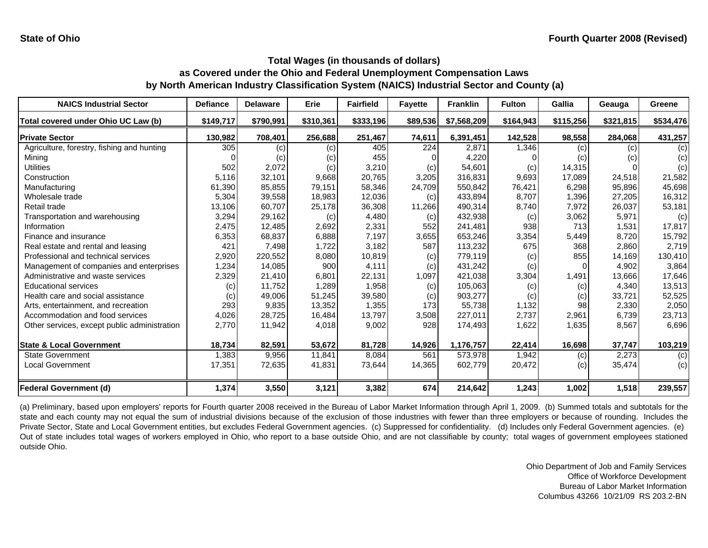| <b>NAICS Industrial Sector</b>               | <b>Defiance</b> | <b>Delaware</b> | <b>Erie</b> | <b>Fairfield</b> | <b>Fayette</b>   | <b>Franklin</b> | <b>Fulton</b> | <b>Gallia</b> | Geauga    | Greene    |
|----------------------------------------------|-----------------|-----------------|-------------|------------------|------------------|-----------------|---------------|---------------|-----------|-----------|
| Total covered under Ohio UC Law (b)          | \$149,717       | \$790,991       | \$310,361   | \$333,196        | \$89,536         | \$7,568,209     | \$164,943     | \$115,256     | \$321,815 | \$534,476 |
| <b>Private Sector</b>                        | 130,982         | 708,401         | 256,688     | 251,467          | 74,611           | 6,391,451       | 142,528       | 98,558        | 284,068   | 431,257   |
| Agriculture, forestry, fishing and hunting   | 305             | (c)             | (c)         | 405              | $\overline{224}$ | 2,871           | 1,346         | (c)           | (c)       | (c)       |
| Mining                                       |                 | (c)             | (c)         | 455              |                  | 4,220           |               | (c)           | (c)       | (c)       |
| Utilities                                    | 502             | 2,072           | (c)         | 3,210            | (c)              | 54,601          | (c)           | 14,315        |           | (c)       |
| Construction                                 | 5,116           | 32,101          | 9,668       | 20,765           | 3,205            | 316,831         | 9,693         | 17,089        | 24,518    | 21,582    |
| Manufacturing                                | 61,390          | 85,855          | 79,151      | 58,346           | 24,709           | 550,842         | 76,421        | 6,298         | 95,896    | 45,698    |
| Wholesale trade                              | 5,304           | 39,558          | 18,983      | 12,036           | (c)              | 433,894         | 8,707         | 1,396         | 27,205    | 16,312    |
| Retail trade                                 | 13,106          | 60,707          | 25,178      | 36,308           | 11,266           | 490,314         | 8,740         | 7,972         | 26,037    | 53,181    |
| Transportation and warehousing               | 3,294           | 29,162          | (c)         | 4,480            | (c)              | 432,938         | (c)           | 3,062         | 5,971     | (c)       |
| Information                                  | 2,475           | 12,485          | 2,692       | 2,331            | 552              | 241,481         | 938           | 713           | 1,531     | 17,817    |
| Finance and insurance                        | 6,353           | 68,837          | 6,888       | 7,197            | 3,655            | 653,246         | 3,354         | 5,449         | 8,720     | 15,792    |
| Real estate and rental and leasing           | 421             | 7.498           | 1,722       | 3,182            | 587              | 113,232         | 675           | 368           | 2.860     | 2,719     |
| Professional and technical services          | 2,920           | 220,552         | 8,080       | 10,819           | (c)              | 779,119         | (c)           | 855           | 14,169    | 130,410   |
| Management of companies and enterprises      | 1,234           | 14,085          | 900         | 4.111            | (c)              | 431,242         | (c)           | 0             | 4.902     | 3,864     |
| Administrative and waste services            | 2,329           | 21,410          | 6,801       | 22.131           | 1,097            | 421.038         | 3,304         | 1,491         | 13.666    | 17,646    |
| <b>Educational services</b>                  | (c)             | 11,752          | 1,289       | 1,958            | (c)              | 105,063         | (c)           | (c)           | 4,340     | 13,513    |
| Health care and social assistance            | (c)             | 49,006          | 51,245      | 39,580           | (c)              | 903,277         | (c)           | (c)           | 33,721    | 52,525    |
| Arts, entertainment, and recreation          | 293             | 9,835           | 13,352      | 1,355            | 173              | 55,738          | 1,132         | 98            | 2,330     | 2,050     |
| Accommodation and food services              | 4,026           | 28,725          | 16,484      | 13.797           | 3,508            | 227,011         | 2,737         | 2,961         | 6,739     | 23,713    |
| Other services, except public administration | 2,770           | 11,942          | 4,018       | 9,002            | 928              | 174,493         | 1,622         | 1,635         | 8,567     | 6,696     |
| <b>State &amp; Local Government</b>          | 18,734          | 82,591          | 53,672      | 81,728           | 14,926           | 1,176,757       | 22,414        | 16,698        | 37,747    | 103,219   |
| <b>State Government</b>                      | 1,383           | 9,956           | 11,841      | 8,084            | 561              | 573,978         | 1,942         | (c)           | 2,273     | (c)       |
| <b>Local Government</b>                      | 17,351          | 72,635          | 41,831      | 73,644           | 14,365           | 602,779         | 20,472        | (c)           | 35,474    | (c)       |
| <b>Federal Government (d)</b>                | 1,374           | 3,550           | 3,121       | 3,382            | 674              | 214,642         | 1,243         | 1,002         | 1,518     | 239,557   |

(a) Preliminary, based upon employers' reports for Fourth quarter 2008 received in the Bureau of Labor Market Information through April 1, 2009. (b) Summed totals and subtotals for the state and each county may not equal the sum of industrial divisions because of the exclusion of those industries with fewer than three employers or because of rounding. Includes the Private Sector, State and Local Government entities, but excludes Federal Government agencies. (c) Suppressed for confidentiality. (d) Includes only Federal Government agencies. (e) Out of state includes total wages of workers employed in Ohio, who report to <sup>a</sup> base outside Ohio, and are not classifiable by county; total wages of government employees stationed outside Ohio.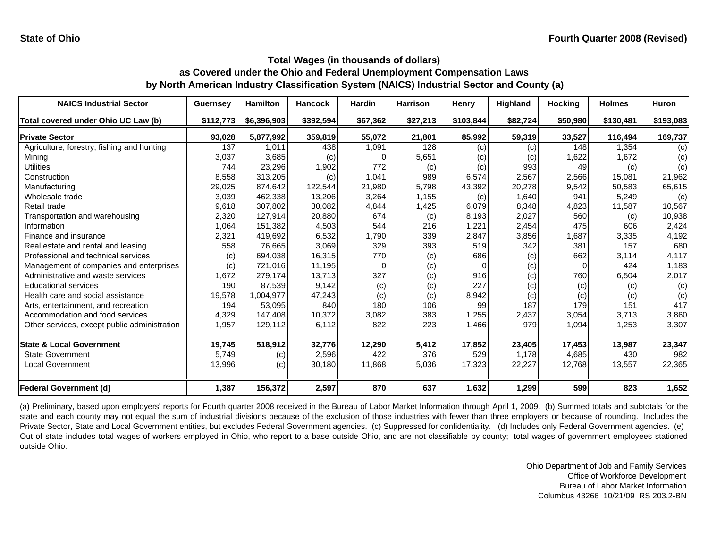| <b>NAICS Industrial Sector</b>               | <b>Guernsey</b> | <b>Hamilton</b> | <b>Hancock</b> | <b>Hardin</b> | <b>Harrison</b> | Henry     | Highland | <b>Hocking</b> | <b>Holmes</b> | <b>Huron</b> |
|----------------------------------------------|-----------------|-----------------|----------------|---------------|-----------------|-----------|----------|----------------|---------------|--------------|
| Total covered under Ohio UC Law (b)          | \$112,773       | \$6,396,903     | \$392,594      | \$67,362      | \$27,213        | \$103,844 | \$82,724 | \$50,980       | \$130,481     | \$193,083    |
| <b>Private Sector</b>                        | 93,028          | 5,877,992       | 359,819        | 55,072        | 21,801          | 85,992    | 59,319   | 33,527         | 116,494       | 169,737      |
| Agriculture, forestry, fishing and hunting   | 137             | 1.011           | 438            | 1,091         | 128             | (c)       | (c)      | 148            | 1.354         | (c)          |
| Mining                                       | 3,037           | 3,685           | (c)            |               | 5,651           | (c)       | (c)      | 1,622          | 1,672         | (c)          |
| <b>Utilities</b>                             | 744             | 23,296          | 1,902          | 772           | (c)             | (c)       | 993      | 49             | (c)           | (c)          |
| Construction                                 | 8,558           | 313,205         | (c)            | 1,041         | 989             | 6,574     | 2,567    | 2,566          | 15,081        | 21,962       |
| Manufacturing                                | 29,025          | 874,642         | 122,544        | 21,980        | 5,798           | 43,392    | 20,278   | 9,542          | 50,583        | 65,615       |
| Wholesale trade                              | 3,039           | 462,338         | 13,206         | 3,264         | 1,155           | (c)       | 1,640    | 941            | 5,249         | (c)          |
| Retail trade                                 | 9,618           | 307,802         | 30,082         | 4,844         | 1,425           | 6,079     | 8,348    | 4,823          | 11,587        | 10,567       |
| Transportation and warehousing               | 2,320           | 127,914         | 20,880         | 674           | (c)             | 8,193     | 2,027    | 560            | (c)           | 10,938       |
| Information                                  | 1,064           | 151,382         | 4,503          | 544           | 216             | 1,221     | 2,454    | 475            | 606           | 2,424        |
| Finance and insurance                        | 2,321           | 419,692         | 6,532          | 1,790         | 339             | 2,847     | 3,856    | 1,687          | 3,335         | 4,192        |
| Real estate and rental and leasing           | 558             | 76,665          | 3,069          | 329           | 393             | 519       | 342      | 381            | 157           | 680          |
| Professional and technical services          | (c)             | 694,038         | 16,315         | 770           | (c)             | 686       | (c)      | 662            | 3,114         | 4,117        |
| Management of companies and enterprises      | (c)             | 721,016         | 11,195         |               | (c)             |           | (c)      | $\Omega$       | 424           | 1,183        |
| Administrative and waste services            | 1,672           | 279,174         | 13,713         | 327           | (c)             | 916       | (c)      | 760            | 6,504         | 2,017        |
| <b>Educational services</b>                  | 190             | 87,539          | 9,142          | (c)           | (c)             | 227       | (c)      | (c)            | (c)           | (c)          |
| Health care and social assistance            | 19,578          | 1,004,977       | 47,243         | (c)           | (c)             | 8,942     | (c)      | (c)            | (c)           | (c)          |
| Arts, entertainment, and recreation          | 194             | 53,095          | 840            | 180           | 106             | 99        | 187      | 179            | 151           | 417          |
| Accommodation and food services              | 4,329           | 147,408         | 10,372         | 3,082         | 383             | 1,255     | 2,437    | 3,054          | 3,713         | 3,860        |
| Other services, except public administration | 1,957           | 129,112         | 6,112          | 822           | 223             | 1,466     | 979      | 1,094          | 1,253         | 3,307        |
| <b>State &amp; Local Government</b>          | 19,745          | 518,912         | 32,776         | 12,290        | 5,412           | 17,852    | 23,405   | 17,453         | 13,987        | 23,347       |
| <b>State Government</b>                      | 5,749           | (c)             | 2,596          | 422           | 376             | 529       | 1.178    | 4,685          | 430           | 982          |
| <b>Local Government</b>                      | 13,996          | (c)             | 30,180         | 11,868        | 5,036           | 17,323    | 22,227   | 12,768         | 13,557        | 22,365       |
| Federal Government (d)                       | 1,387           | 156,372         | 2,597          | 870           | 637             | 1,632     | 1,299    | 599            | 823           | 1,652        |

(a) Preliminary, based upon employers' reports for Fourth quarter 2008 received in the Bureau of Labor Market Information through April 1, 2009. (b) Summed totals and subtotals for the state and each county may not equal the sum of industrial divisions because of the exclusion of those industries with fewer than three employers or because of rounding. Includes the Private Sector, State and Local Government entities, but excludes Federal Government agencies. (c) Suppressed for confidentiality. (d) Includes only Federal Government agencies. (e) Out of state includes total wages of workers employed in Ohio, who report to <sup>a</sup> base outside Ohio, and are not classifiable by county; total wages of government employees stationed outside Ohio.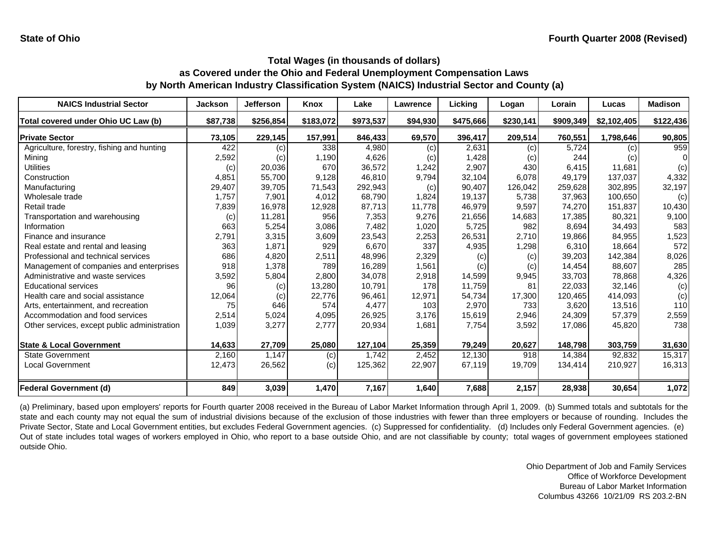| <b>NAICS Industrial Sector</b>               | <b>Jackson</b> | <b>Jefferson</b> | <b>Knox</b> | Lake      | Lawrence | Licking   | Logan     | Lorain    | Lucas       | <b>Madison</b> |
|----------------------------------------------|----------------|------------------|-------------|-----------|----------|-----------|-----------|-----------|-------------|----------------|
| Total covered under Ohio UC Law (b)          | \$87,738       | \$256,854        | \$183,072   | \$973,537 | \$94,930 | \$475,666 | \$230,141 | \$909,349 | \$2,102,405 | \$122,436      |
| <b>Private Sector</b>                        | 73,105         | 229,145          | 157,991     | 846,433   | 69,570   | 396,417   | 209,514   | 760,551   | 1,798,646   | 90,805         |
| Agriculture, forestry, fishing and hunting   | 422            | (c)              | 338         | 4,980     | (c)      | 2,631     | (c)       | 5,724     | (c)         | 959            |
| Mining                                       | 2,592          | (c)              | 1,190       | 4,626     | (c)      | 1,428     | (c)       | 244       | (c)         |                |
| Utilities                                    | (c)            | 20,036           | 670         | 36,572    | 1,242    | 2,907     | 430       | 6,415     | 11,681      | (c)            |
| Construction                                 | 4,851          | 55,700           | 9,128       | 46,810    | 9,794    | 32,104    | 6,078     | 49,179    | 137,037     | 4,332          |
| Manufacturing                                | 29,407         | 39,705           | 71,543      | 292,943   | (c)      | 90,407    | 126,042   | 259,628   | 302,895     | 32,197         |
| Wholesale trade                              | 1,757          | 7,901            | 4,012       | 68,790    | 1,824    | 19,137    | 5,738     | 37,963    | 100,650     | (c)            |
| Retail trade                                 | 7,839          | 16,978           | 12,928      | 87,713    | 11,778   | 46,979    | 9,597     | 74,270    | 151,837     | 10,430         |
| Transportation and warehousing               | (c)            | 11,281           | 956         | 7,353     | 9,276    | 21,656    | 14,683    | 17,385    | 80,321      | 9,100          |
| Information                                  | 663            | 5,254            | 3,086       | 7,482     | 1,020    | 5,725     | 982       | 8,694     | 34,493      | 583            |
| Finance and insurance                        | 2,791          | 3,315            | 3,609       | 23,543    | 2,253    | 26,531    | 2,710     | 19,866    | 84,955      | 1,523          |
| Real estate and rental and leasing           | 363            | 1,871            | 929         | 6.670     | 337      | 4,935     | 1,298     | 6.310     | 18.664      | 572            |
| Professional and technical services          | 686            | 4,820            | 2,511       | 48,996    | 2,329    | (c)       | (c)       | 39,203    | 142,384     | 8,026          |
| Management of companies and enterprises      | 918            | 1,378            | 789         | 16.289    | 1,561    | (c)       | (c)       | 14,454    | 88,607      | 285            |
| Administrative and waste services            | 3,592          | 5,804            | 2,800       | 34.078    | 2,918    | 14,599    | 9,945     | 33,703    | 78,868      | 4,326          |
| <b>Educational services</b>                  | 96             | (c)              | 13,280      | 10,791    | 178      | 11,759    | 81        | 22,033    | 32,146      | (c)            |
| Health care and social assistance            | 12,064         | (c)              | 22,776      | 96.461    | 12,971   | 54,734    | 17,300    | 120,465   | 414,093     | (c)            |
| Arts, entertainment, and recreation          | 75             | 646              | 574         | 4,477     | 103      | 2,970     | 733       | 3,620     | 13,516      | 110            |
| Accommodation and food services              | 2,514          | 5,024            | 4,095       | 26,925    | 3,176    | 15,619    | 2,946     | 24,309    | 57,379      | 2,559          |
| Other services, except public administration | 1,039          | 3,277            | 2,777       | 20,934    | 1,681    | 7,754     | 3,592     | 17,086    | 45,820      | 738            |
| <b>State &amp; Local Government</b>          | 14,633         | 27,709           | 25,080      | 127,104   | 25,359   | 79,249    | 20,627    | 148,798   | 303,759     | 31,630         |
| <b>State Government</b>                      | 2,160          | 1,147            | (c)         | 1,742     | 2,452    | 12,130    | 918       | 14,384    | 92,832      | 15,317         |
| <b>Local Government</b>                      | 12,473         | 26,562           | (c)         | 125,362   | 22,907   | 67,119    | 19,709    | 134,414   | 210,927     | 16,313         |
| <b>Federal Government (d)</b>                | 849            | 3,039            | 1,470       | 7,167     | 1,640    | 7,688     | 2,157     | 28,938    | 30,654      | 1,072          |

(a) Preliminary, based upon employers' reports for Fourth quarter 2008 received in the Bureau of Labor Market Information through April 1, 2009. (b) Summed totals and subtotals for the state and each county may not equal the sum of industrial divisions because of the exclusion of those industries with fewer than three employers or because of rounding. Includes the Private Sector, State and Local Government entities, but excludes Federal Government agencies. (c) Suppressed for confidentiality. (d) Includes only Federal Government agencies. (e) Out of state includes total wages of workers employed in Ohio, who report to <sup>a</sup> base outside Ohio, and are not classifiable by county; total wages of government employees stationed outside Ohio.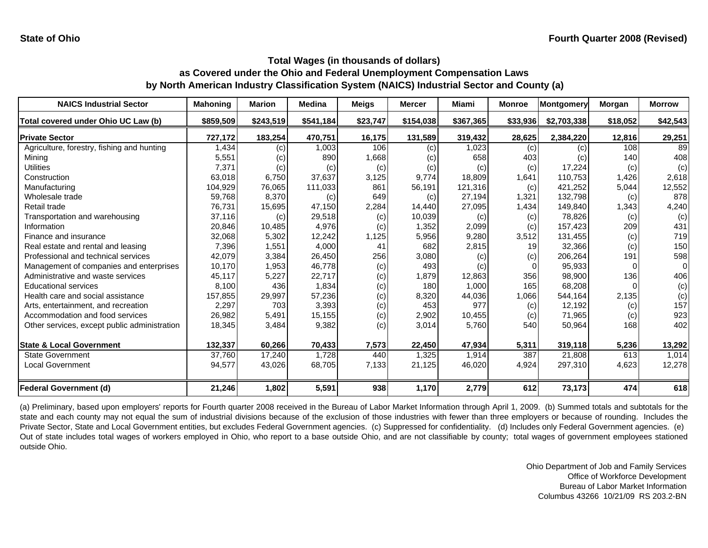| <b>NAICS Industrial Sector</b>               | <b>Mahoning</b> | <b>Marion</b> | <b>Medina</b> | <b>Meigs</b> | <b>Mercer</b> | <b>Miami</b> | <b>Monroe</b> | Montgomery  | Morgan   | <b>Morrow</b> |
|----------------------------------------------|-----------------|---------------|---------------|--------------|---------------|--------------|---------------|-------------|----------|---------------|
| Total covered under Ohio UC Law (b)          | \$859,509       | \$243,519     | \$541,184     | \$23,747     | \$154,038     | \$367,365    | \$33,936      | \$2,703,338 | \$18,052 | \$42,543      |
| <b>Private Sector</b>                        | 727,172         | 183,254       | 470,751       | 16,175       | 131,589       | 319,432      | 28,625        | 2,384,220   | 12,816   | 29,251        |
| Agriculture, forestry, fishing and hunting   | 1,434           | (c)           | 1,003         | 106          | (c)           | 1,023        | (c)           | (c)         | 108      | 89            |
| Mining                                       | 5,551           | (c)           | 890           | 1,668        | (c)           | 658          | 403           | (c)         | 140      | 408           |
| Utilities                                    | 7,371           | (c)           | (c)           | (c)          | (c)           | (c)          | (c)           | 17,224      | (c)      | (c)           |
| Construction                                 | 63,018          | 6,750         | 37,637        | 3,125        | 9,774         | 18,809       | 1,641         | 110,753     | 1,426    | 2,618         |
| Manufacturing                                | 104,929         | 76,065        | 111,033       | 861          | 56,191        | 121,316      | (c)           | 421,252     | 5,044    | 12,552        |
| Wholesale trade                              | 59,768          | 8,370         | (c)           | 649          | (c)           | 27,194       | 1,321         | 132,798     | (c)      | 878           |
| Retail trade                                 | 76,731          | 15,695        | 47,150        | 2,284        | 14,440        | 27,095       | 1,434         | 149,840     | 1,343    | 4,240         |
| Transportation and warehousing               | 37,116          | (c)           | 29,518        | (c)          | 10,039        | (c)          | (c)           | 78,826      | (c)      | (c)           |
| Information                                  | 20,846          | 10,485        | 4,976         | (c)          | 1,352         | 2,099        | (c)           | 157,423     | 209      | 431           |
| Finance and insurance                        | 32,068          | 5,302         | 12,242        | 1,125        | 5,956         | 9,280        | 3,512         | 131,455     | (c)      | 719           |
| Real estate and rental and leasing           | 7,396           | 1,551         | 4,000         | 41           | 682           | 2,815        | 19            | 32,366      | (c)      | 150           |
| Professional and technical services          | 42,079          | 3,384         | 26,450        | 256          | 3,080         | (c)          | (c)           | 206,264     | 191      | 598           |
| Management of companies and enterprises      | 10,170          | 1,953         | 46.778        | (c)          | 493           | (c)          |               | 95,933      |          | $\Omega$      |
| Administrative and waste services            | 45,117          | 5,227         | 22,717        | (c)          | 1,879         | 12,863       | 356           | 98.900      | 136      | 406           |
| <b>Educational services</b>                  | 8,100           | 436           | 1,834         | (c)          | 180           | 1,000        | 165           | 68,208      |          | (c)           |
| Health care and social assistance            | 157,855         | 29,997        | 57,236        | (c)          | 8,320         | 44,036       | 1,066         | 544,164     | 2,135    | (c)           |
| Arts, entertainment, and recreation          | 2,297           | 703           | 3,393         | (c)          | 453           | 977          | (c)           | 12,192      | (c)      | 157           |
| Accommodation and food services              | 26,982          | 5,491         | 15,155        | (c)          | 2,902         | 10,455       | (c)           | 71,965      | (c)      | 923           |
| Other services, except public administration | 18,345          | 3,484         | 9,382         | (c)          | 3,014         | 5,760        | 540           | 50,964      | 168      | 402           |
| <b>State &amp; Local Government</b>          | 132,337         | 60,266        | 70,433        | 7,573        | 22,450        | 47,934       | 5,311         | 319,118     | 5,236    | 13,292        |
| <b>State Government</b>                      | 37,760          | 17,240        | 1,728         | 440          | 1,325         | 1,914        | 387           | 21,808      | 613      | 1,014         |
| <b>Local Government</b>                      | 94,577          | 43,026        | 68,705        | 7,133        | 21,125        | 46,020       | 4,924         | 297,310     | 4,623    | 12,278        |
| <b>Federal Government (d)</b>                | 21,246          | 1,802         | 5,591         | 938          | 1,170         | 2,779        | 612           | 73,173      | 474      | 618           |

(a) Preliminary, based upon employers' reports for Fourth quarter 2008 received in the Bureau of Labor Market Information through April 1, 2009. (b) Summed totals and subtotals for the state and each county may not equal the sum of industrial divisions because of the exclusion of those industries with fewer than three employers or because of rounding. Includes the Private Sector, State and Local Government entities, but excludes Federal Government agencies. (c) Suppressed for confidentiality. (d) Includes only Federal Government agencies. (e) Out of state includes total wages of workers employed in Ohio, who report to <sup>a</sup> base outside Ohio, and are not classifiable by county; total wages of government employees stationed outside Ohio.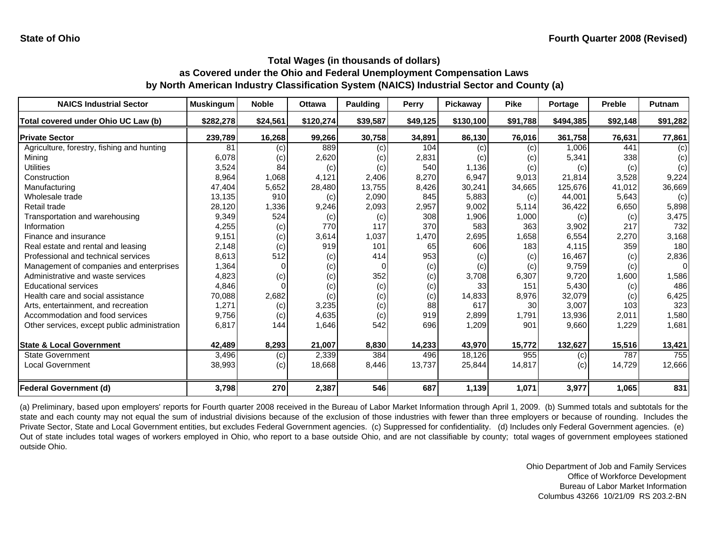| <b>NAICS Industrial Sector</b>               | <b>Muskingum</b> | <b>Noble</b> | <b>Ottawa</b> | <b>Paulding</b> | Perry    | Pickaway  | <b>Pike</b> | Portage   | <b>Preble</b> | Putnam   |
|----------------------------------------------|------------------|--------------|---------------|-----------------|----------|-----------|-------------|-----------|---------------|----------|
| Total covered under Ohio UC Law (b)          | \$282,278        | \$24,561     | \$120,274     | \$39,587        | \$49,125 | \$130,100 | \$91,788    | \$494,385 | \$92,148      | \$91,282 |
| <b>Private Sector</b>                        | 239,789          | 16,268       | 99,266        | 30,758          | 34,891   | 86,130    | 76,016      | 361,758   | 76,631        | 77,861   |
| Agriculture, forestry, fishing and hunting   | 81               | (c)          | 889           | (c)             | 104      | (c)       | (c)         | 1,006     | 441           | (c)      |
| Mining                                       | 6,078            | (c)          | 2,620         | (c)             | 2,831    | (c)       | (c)         | 5,341     | 338           | (c)      |
| Utilities                                    | 3,524            | 84           | (c)           | (c)             | 540      | 1,136     | (c)         | (c)       | (c)           | (c)      |
| Construction                                 | 8,964            | 1,068        | 4,121         | 2,406           | 8,270    | 6,947     | 9,013       | 21,814    | 3,528         | 9,224    |
| Manufacturing                                | 47,404           | 5,652        | 28,480        | 13,755          | 8,426    | 30,241    | 34,665      | 125,676   | 41,012        | 36,669   |
| Wholesale trade                              | 13,135           | 910          | (c)           | 2,090           | 845      | 5,883     | (c)         | 44.001    | 5,643         | (c)      |
| Retail trade                                 | 28,120           | 1,336        | 9,246         | 2,093           | 2,957    | 9,002     | 5,114       | 36,422    | 6,650         | 5,898    |
| Transportation and warehousing               | 9,349            | 524          | (c)           | (c)             | 308      | 1,906     | 1,000       | (c)       | (c)           | 3,475    |
| Information                                  | 4,255            | (c)          | 770           | 117             | 370      | 583       | 363         | 3,902     | 217           | 732      |
| Finance and insurance                        | 9,151            | (c)          | 3,614         | 1,037           | 1,470    | 2,695     | 1,658       | 6,554     | 2,270         | 3,168    |
| Real estate and rental and leasing           | 2,148            | (c)          | 919           | 101             | 65       | 606       | 183         | 4,115     | 359           | 180      |
| Professional and technical services          | 8,613            | 512          | (c)           | 414             | 953      | (c)       | (c)         | 16,467    | (c)           | 2,836    |
| Management of companies and enterprises      | 1,364            |              | (c)           |                 | (c)      | (c)       | (c)         | 9,759     | (c)           | $\Omega$ |
| Administrative and waste services            | 4,823            | (c)          | (c)           | 352             | (c)      | 3,708     | 6,307       | 9,720     | 1,600         | 1,586    |
| <b>Educational services</b>                  | 4,846            |              | (c)           | (c)             | (c)      | 33        | 151         | 5,430     | (c)           | 486      |
| Health care and social assistance            | 70,088           | 2,682        | (c)           | (c)             | (c)      | 14,833    | 8,976       | 32,079    | (c)           | 6,425    |
| Arts, entertainment, and recreation          | 1,271            | (c)          | 3,235         | (c)             | 88       | 617       | 30          | 3,007     | 103           | 323      |
| Accommodation and food services              | 9,756            | (c)          | 4,635         | (c)             | 919      | 2,899     | 1,791       | 13,936    | 2,011         | 1,580    |
| Other services, except public administration | 6,817            | 144          | 1,646         | 542             | 696      | 1,209     | 901         | 9,660     | 1,229         | 1,681    |
| <b>State &amp; Local Government</b>          | 42,489           | 8,293        | 21,007        | 8,830           | 14,233   | 43,970    | 15,772      | 132,627   | 15,516        | 13,421   |
| <b>State Government</b>                      | 3,496            | (c)          | 2,339         | 384             | 496      | 18,126    | 955         | (c)       | 787           | 755      |
| <b>Local Government</b>                      | 38,993           | (c)          | 18,668        | 8,446           | 13,737   | 25,844    | 14,817      | (c)       | 14,729        | 12,666   |
| <b>Federal Government (d)</b>                | 3,798            | 270          | 2,387         | 546             | 687      | 1,139     | 1,071       | 3,977     | 1,065         | 831      |

(a) Preliminary, based upon employers' reports for Fourth quarter 2008 received in the Bureau of Labor Market Information through April 1, 2009. (b) Summed totals and subtotals for the state and each county may not equal the sum of industrial divisions because of the exclusion of those industries with fewer than three employers or because of rounding. Includes the Private Sector, State and Local Government entities, but excludes Federal Government agencies. (c) Suppressed for confidentiality. (d) Includes only Federal Government agencies. (e) Out of state includes total wages of workers employed in Ohio, who report to <sup>a</sup> base outside Ohio, and are not classifiable by county; total wages of government employees stationed outside Ohio.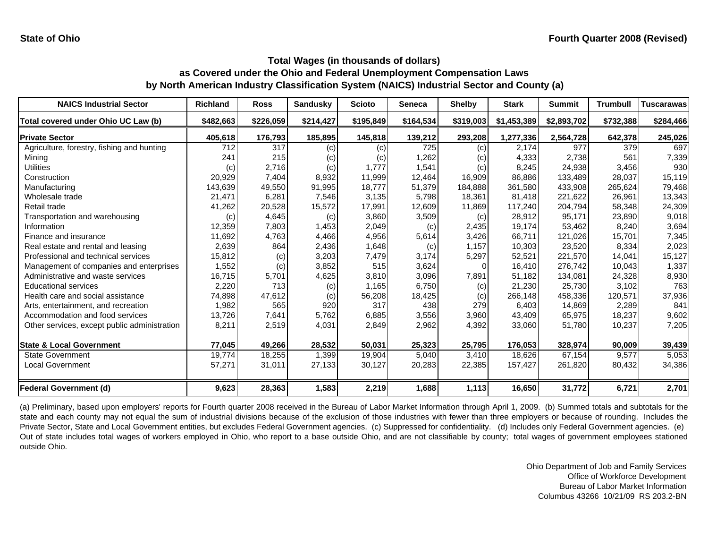| <b>NAICS Industrial Sector</b>               | <b>Richland</b> | <b>Ross</b> | <b>Sandusky</b> | <b>Scioto</b> | <b>Seneca</b> | <b>Shelby</b> | <b>Stark</b> | <b>Summit</b> | <b>Trumbull</b> | <b>Tuscarawas</b> |
|----------------------------------------------|-----------------|-------------|-----------------|---------------|---------------|---------------|--------------|---------------|-----------------|-------------------|
| Total covered under Ohio UC Law (b)          | \$482,663       | \$226,059   | \$214,427       | \$195,849     | \$164,534     | \$319,003     | \$1,453,389  | \$2,893,702   | \$732,388       | \$284,466         |
| <b>Private Sector</b>                        | 405,618         | 176,793     | 185,895         | 145,818       | 139,212       | 293,208       | 1,277,336    | 2,564,728     | 642,378         | 245,026           |
| Agriculture, forestry, fishing and hunting   | 712             | 317         | (c)             | (c)           | 725           | (c)           | 2,174        | 977           | 379             | 697               |
| Mining                                       | 241             | 215         | (c)             | (c)           | 1,262         | (c)           | 4,333        | 2,738         | 561             | 7,339             |
| Utilities                                    | (c)             | 2,716       | (c)             | 1,777         | 1,541         | (c)           | 8,245        | 24,938        | 3,456           | 930               |
| Construction                                 | 20,929          | 7,404       | 8,932           | 11,999        | 12,464        | 16,909        | 86,886       | 133,489       | 28.037          | 15,119            |
| Manufacturing                                | 143,639         | 49,550      | 91,995          | 18,777        | 51,379        | 184,888       | 361,580      | 433,908       | 265,624         | 79,468            |
| Wholesale trade                              | 21,471          | 6,281       | 7,546           | 3,135         | 5,798         | 18,361        | 81,418       | 221,622       | 26,961          | 13,343            |
| Retail trade                                 | 41,262          | 20,528      | 15,572          | 17,991        | 12,609        | 11,869        | 117,240      | 204,794       | 58,348          | 24,309            |
| Transportation and warehousing               | (c)             | 4,645       | (c)             | 3,860         | 3,509         | (c)           | 28,912       | 95,171        | 23,890          | 9,018             |
| Information                                  | 12,359          | 7,803       | 1,453           | 2,049         | (c)           | 2,435         | 19,174       | 53,462        | 8,240           | 3,694             |
| Finance and insurance                        | 11,692          | 4,763       | 4,466           | 4,956         | 5,614         | 3,426         | 66,711       | 121,026       | 15,701          | 7,345             |
| Real estate and rental and leasing           | 2,639           | 864         | 2,436           | 1,648         | (c)           | 1,157         | 10,303       | 23,520        | 8,334           | 2,023             |
| Professional and technical services          | 15,812          | (c)         | 3,203           | 7,479         | 3,174         | 5,297         | 52,521       | 221,570       | 14,041          | 15,127            |
| Management of companies and enterprises      | 1,552           | (c)         | 3,852           | 515           | 3,624         |               | 16,410       | 276,742       | 10,043          | 1,337             |
| Administrative and waste services            | 16,715          | 5,701       | 4,625           | 3,810         | 3,096         | 7,891         | 51,182       | 134,081       | 24,328          | 8,930             |
| <b>Educational services</b>                  | 2,220           | 713         | (c)             | 1,165         | 6,750         | (c)           | 21,230       | 25,730        | 3,102           | 763               |
| Health care and social assistance            | 74,898          | 47,612      | (c)             | 56,208        | 18,425        | (c)           | 266,148      | 458,336       | 120,571         | 37,936            |
| Arts, entertainment, and recreation          | 1,982           | 565         | 920             | 317           | 438           | 279           | 6,403        | 14,869        | 2,289           | 841               |
| Accommodation and food services              | 13,726          | 7,641       | 5,762           | 6,885         | 3,556         | 3,960         | 43,409       | 65,975        | 18,237          | 9,602             |
| Other services, except public administration | 8,211           | 2,519       | 4,031           | 2,849         | 2,962         | 4,392         | 33,060       | 51,780        | 10,237          | 7,205             |
| <b>State &amp; Local Government</b>          | 77,045          | 49,266      | 28,532          | 50,031        | 25,323        | 25,795        | 176,053      | 328,974       | 90,009          | 39,439            |
| <b>State Government</b>                      | 19.774          | 18,255      | 1,399           | 19,904        | 5,040         | 3,410         | 18.626       | 67,154        | 9,577           | 5,053             |
| <b>Local Government</b>                      | 57,271          | 31,011      | 27,133          | 30,127        | 20,283        | 22,385        | 157,427      | 261,820       | 80,432          | 34,386            |
| <b>Federal Government (d)</b>                | 9,623           | 28,363      | 1,583           | 2,219         | 1,688         | 1,113         | 16,650       | 31,772        | 6,721           | 2,701             |

(a) Preliminary, based upon employers' reports for Fourth quarter 2008 received in the Bureau of Labor Market Information through April 1, 2009. (b) Summed totals and subtotals for the state and each county may not equal the sum of industrial divisions because of the exclusion of those industries with fewer than three employers or because of rounding. Includes the Private Sector, State and Local Government entities, but excludes Federal Government agencies. (c) Suppressed for confidentiality. (d) Includes only Federal Government agencies. (e) Out of state includes total wages of workers employed in Ohio, who report to <sup>a</sup> base outside Ohio, and are not classifiable by county; total wages of government employees stationed outside Ohio.